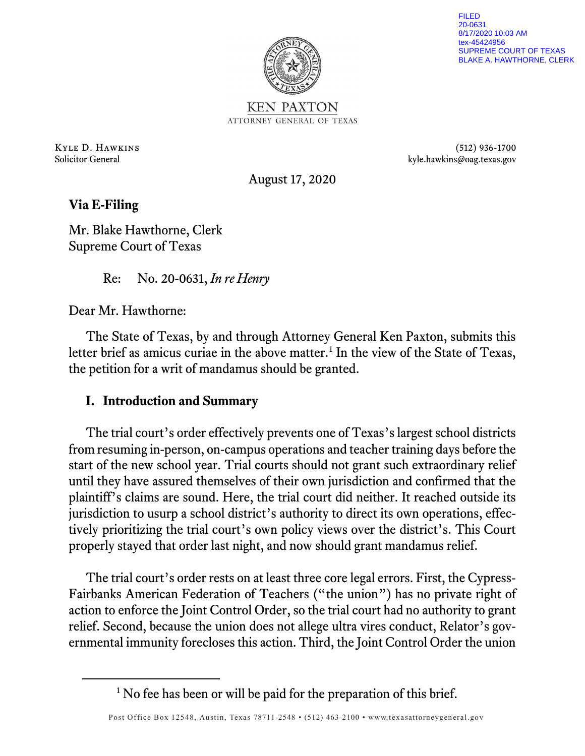

FILED 20-0631 8/17/2020 10:03 AM tex-45424956 SUPREME COURT OF TEXAS BLAKE A. HAWTHORNE, CLERK

**KEN PAXTON** ATTORNEY GENERAL OF TEXAS

Kyle D. Hawkins (512) 936-1700 Solicitor General kyle.hawkins@oag.texas.gov

August 17, 2020

**Via E-Filing**

Mr. Blake Hawthorne, Clerk Supreme Court of Texas

Re: No. 20-0631, *In re Henry*

Dear Mr. Hawthorne:

The State of Texas, by and through Attorney General Ken Paxton, submits this letter brief as amicus curiae in the above matter.<sup>[1](#page-0-0)</sup> In the view of the State of Texas, the petition for a writ of mandamus should be granted.

## **I. Introduction and Summary**

The trial court's order effectively prevents one of Texas's largest school districts from resuming in-person, on-campus operations and teacher training days before the start of the new school year. Trial courts should not grant such extraordinary relief until they have assured themselves of their own jurisdiction and confirmed that the plaintiff's claims are sound. Here, the trial court did neither. It reached outside its jurisdiction to usurp a school district's authority to direct its own operations, effectively prioritizing the trial court's own policy views over the district's. This Court properly stayed that order last night, and now should grant mandamus relief.

The trial court's order rests on at least three core legal errors. First, the Cypress-Fairbanks American Federation of Teachers ("the union") has no private right of action to enforce the Joint Control Order, so the trial court had no authority to grant relief. Second, because the union does not allege ultra vires conduct, Relator's governmental immunity forecloses this action. Third, the Joint Control Order the union

<span id="page-0-0"></span><sup>&</sup>lt;sup>1</sup> No fee has been or will be paid for the preparation of this brief.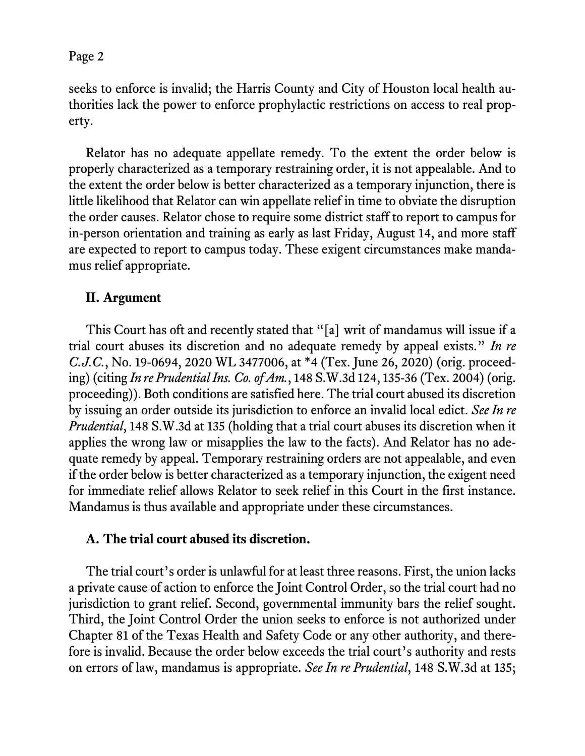seeks to enforce is invalid; the Harris County and City of Houston local health authorities lack the power to enforce prophylactic restrictions on access to real property.

Relator has no adequate appellate remedy. To the extent the order below is properly characterized as a temporary restraining order, it is not appealable. And to the extent the order below is better characterized as a temporary injunction, there is little likelihood that Relator can win appellate relief in time to obviate the disruption the order causes. Relator chose to require some district staff to report to campus for in-person orientation and training as early as last Friday, August 14, and more staff are expected to report to campus today. These exigent circumstances make mandamus relief appropriate.

## **II. Argument**

This Court has oft and recently stated that "[a] writ of mandamus will issue if a trial court abuses its discretion and no adequate remedy by appeal exists." *In re C.J.C.*, No. 19-0694, 2020 WL 3477006, at \*4 (Tex. June 26, 2020) (orig. proceeding) (citing *In re Prudential Ins. Co. of Am.*, 148 S.W.3d 124, 135-36 (Tex. 2004) (orig. proceeding)). Both conditions are satisfied here. The trial court abused its discretion by issuing an order outside its jurisdiction to enforce an invalid local edict. *See In re Prudential*, 148 S.W.3d at 135 (holding that a trial court abuses its discretion when it applies the wrong law or misapplies the law to the facts). And Relator has no adequate remedy by appeal. Temporary restraining orders are not appealable, and even if the order below is better characterized as a temporary injunction, the exigent need for immediate relief allows Relator to seek relief in this Court in the first instance. Mandamus is thus available and appropriate under these circumstances.

### **A. The trial court abused its discretion.**

The trial court's order is unlawful for at least three reasons. First, the union lacks a private cause of action to enforce the Joint Control Order, so the trial court had no jurisdiction to grant relief. Second, governmental immunity bars the relief sought. Third, the Joint Control Order the union seeks to enforce is not authorized under Chapter 81 of the Texas Health and Safety Code or any other authority, and therefore is invalid. Because the order below exceeds the trial court's authority and rests on errors of law, mandamus is appropriate. *See In re Prudential*, 148 S.W.3d at 135;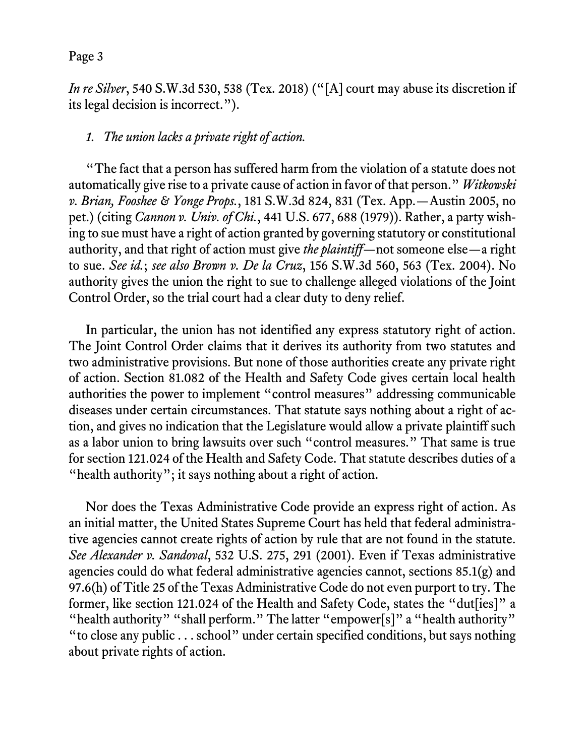*In re Silver*, 540 S.W.3d 530, 538 (Tex. 2018) ("[A] court may abuse its discretion if its legal decision is incorrect.").

### *1. The union lacks a private right of action.*

"The fact that a person has suffered harm from the violation of a statute does not automatically give rise to a private cause of action in favor of that person." *Witkowski v. Brian, Fooshee & Yonge Props.*, 181 S.W.3d 824, 831 (Tex. App.—Austin 2005, no pet.) (citing *Cannon v. Univ. of Chi.*, 441 U.S. 677, 688 (1979)). Rather, a party wishing to sue must have a right of action granted by governing statutory or constitutional authority, and that right of action must give *the plaintiff*—not someone else—a right to sue. *See id.*; *see also Brown v. De la Cruz*, 156 S.W.3d 560, 563 (Tex. 2004). No authority gives the union the right to sue to challenge alleged violations of the Joint Control Order, so the trial court had a clear duty to deny relief.

In particular, the union has not identified any express statutory right of action. The Joint Control Order claims that it derives its authority from two statutes and two administrative provisions. But none of those authorities create any private right of action. Section 81.082 of the Health and Safety Code gives certain local health authorities the power to implement "control measures" addressing communicable diseases under certain circumstances. That statute says nothing about a right of action, and gives no indication that the Legislature would allow a private plaintiff such as a labor union to bring lawsuits over such "control measures." That same is true for section 121.024 of the Health and Safety Code. That statute describes duties of a "health authority"; it says nothing about a right of action.

Nor does the Texas Administrative Code provide an express right of action. As an initial matter, the United States Supreme Court has held that federal administrative agencies cannot create rights of action by rule that are not found in the statute. *See Alexander v. Sandoval*, 532 U.S. 275, 291 (2001). Even if Texas administrative agencies could do what federal administrative agencies cannot, sections 85.1(g) and 97.6(h) of Title 25 of the Texas Administrative Code do not even purport to try. The former, like section 121.024 of the Health and Safety Code, states the "dut[ies]" a "health authority" "shall perform." The latter "empower[s]" a "health authority" "to close any public . . . school" under certain specified conditions, but says nothing about private rights of action.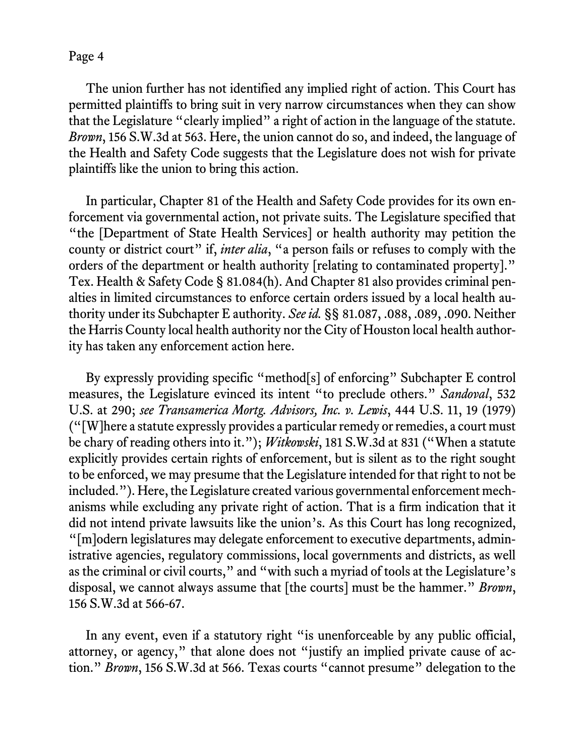The union further has not identified any implied right of action. This Court has permitted plaintiffs to bring suit in very narrow circumstances when they can show that the Legislature "clearly implied" a right of action in the language of the statute. *Brown*, 156 S.W.3d at 563. Here, the union cannot do so, and indeed, the language of the Health and Safety Code suggests that the Legislature does not wish for private plaintiffs like the union to bring this action.

In particular, Chapter 81 of the Health and Safety Code provides for its own enforcement via governmental action, not private suits. The Legislature specified that "the [Department of State Health Services] or health authority may petition the county or district court" if, *inter alia*, "a person fails or refuses to comply with the orders of the department or health authority [relating to contaminated property]." Tex. Health & Safety Code § 81.084(h). And Chapter 81 also provides criminal penalties in limited circumstances to enforce certain orders issued by a local health authority under its Subchapter E authority. *See id.* §§ 81.087, .088, .089, .090. Neither the Harris County local health authority nor the City of Houston local health authority has taken any enforcement action here.

By expressly providing specific "method[s] of enforcing" Subchapter E control measures, the Legislature evinced its intent "to preclude others." *Sandoval*, 532 U.S. at 290; *see Transamerica Mortg. Advisors, Inc. v. Lewis*, 444 U.S. 11, 19 (1979) ("[W]here a statute expressly provides a particular remedy or remedies, a court must be chary of reading others into it."); *Witkowski*, 181 S.W.3d at 831 ("When a statute explicitly provides certain rights of enforcement, but is silent as to the right sought to be enforced, we may presume that the Legislature intended for that right to not be included."). Here, the Legislature created various governmental enforcement mechanisms while excluding any private right of action. That is a firm indication that it did not intend private lawsuits like the union's. As this Court has long recognized, "[m]odern legislatures may delegate enforcement to executive departments, administrative agencies, regulatory commissions, local governments and districts, as well as the criminal or civil courts," and "with such a myriad of tools at the Legislature's disposal, we cannot always assume that [the courts] must be the hammer." *Brown*, 156 S.W.3d at 566-67.

In any event, even if a statutory right "is unenforceable by any public official, attorney, or agency," that alone does not "justify an implied private cause of action." *Brown*, 156 S.W.3d at 566. Texas courts "cannot presume" delegation to the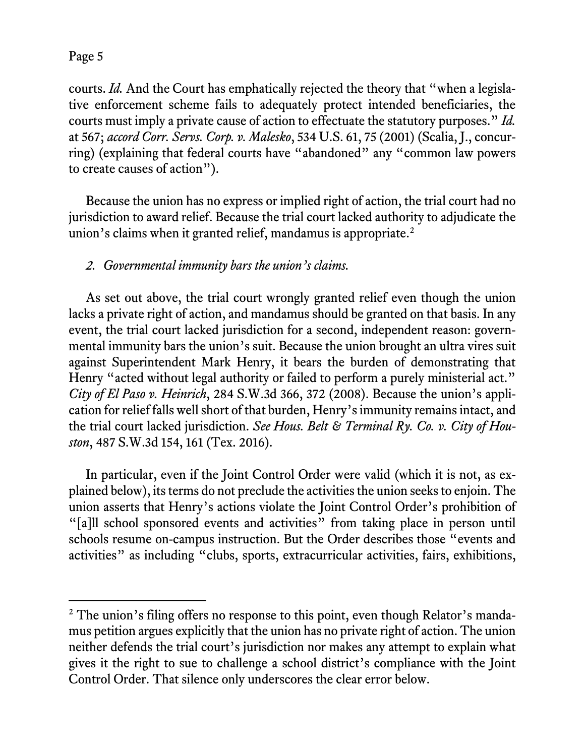courts. *Id.* And the Court has emphatically rejected the theory that "when a legislative enforcement scheme fails to adequately protect intended beneficiaries, the courts must imply a private cause of action to effectuate the statutory purposes." *Id.* at 567; *accord Corr. Servs. Corp. v. Malesko*, 534 U.S. 61, 75 (2001) (Scalia, J., concurring) (explaining that federal courts have "abandoned" any "common law powers to create causes of action").

Because the union has no express or implied right of action, the trial court had no jurisdiction to award relief. Because the trial court lacked authority to adjudicate the union's claims when it granted relief, mandamus is appropriate.<sup>[2](#page-4-0)</sup>

## *2. Governmental immunity bars the union's claims.*

As set out above, the trial court wrongly granted relief even though the union lacks a private right of action, and mandamus should be granted on that basis. In any event, the trial court lacked jurisdiction for a second, independent reason: governmental immunity bars the union's suit. Because the union brought an ultra vires suit against Superintendent Mark Henry, it bears the burden of demonstrating that Henry "acted without legal authority or failed to perform a purely ministerial act." *City of El Paso v. Heinrich*, 284 S.W.3d 366, 372 (2008). Because the union's application for relief falls well short of that burden, Henry's immunity remains intact, and the trial court lacked jurisdiction. *See Hous. Belt & Terminal Ry. Co. v. City of Houston*, 487 S.W.3d 154, 161 (Tex. 2016).

In particular, even if the Joint Control Order were valid (which it is not, as explained below), its terms do not preclude the activities the union seeks to enjoin. The union asserts that Henry's actions violate the Joint Control Order's prohibition of "[a]ll school sponsored events and activities" from taking place in person until schools resume on-campus instruction. But the Order describes those "events and activities" as including "clubs, sports, extracurricular activities, fairs, exhibitions,

<span id="page-4-0"></span><sup>&</sup>lt;sup>2</sup> The union's filing offers no response to this point, even though Relator's mandamus petition argues explicitly that the union has no private right of action. The union neither defends the trial court's jurisdiction nor makes any attempt to explain what gives it the right to sue to challenge a school district's compliance with the Joint Control Order. That silence only underscores the clear error below.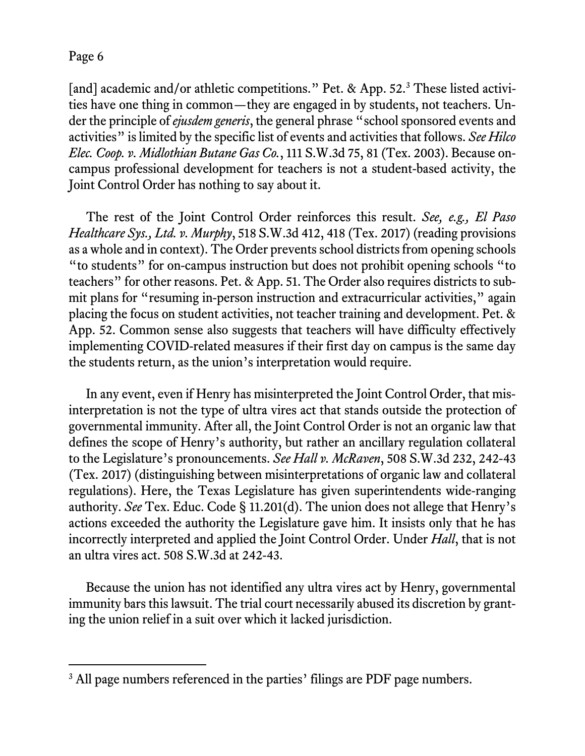[and] academic and/or athletic competitions." Pet. & App. 52.<sup>[3](#page-5-0)</sup> These listed activities have one thing in common—they are engaged in by students, not teachers. Under the principle of *ejusdem generis*, the general phrase "school sponsored events and activities" is limited by the specific list of events and activities that follows. *See Hilco Elec. Coop. v. Midlothian Butane Gas Co.*, 111 S.W.3d 75, 81 (Tex. 2003). Because oncampus professional development for teachers is not a student-based activity, the Joint Control Order has nothing to say about it.

The rest of the Joint Control Order reinforces this result. *See, e.g., El Paso Healthcare Sys., Ltd. v. Murphy*, 518 S.W.3d 412, 418 (Tex. 2017) (reading provisions as a whole and in context). The Order prevents school districts from opening schools "to students" for on-campus instruction but does not prohibit opening schools "to teachers" for other reasons. Pet. & App. 51. The Order also requires districts to submit plans for "resuming in-person instruction and extracurricular activities," again placing the focus on student activities, not teacher training and development. Pet. & App. 52. Common sense also suggests that teachers will have difficulty effectively implementing COVID-related measures if their first day on campus is the same day the students return, as the union's interpretation would require.

In any event, even if Henry has misinterpreted the Joint Control Order, that misinterpretation is not the type of ultra vires act that stands outside the protection of governmental immunity. After all, the Joint Control Order is not an organic law that defines the scope of Henry's authority, but rather an ancillary regulation collateral to the Legislature's pronouncements. *See Hall v. McRaven*, 508 S.W.3d 232, 242-43 (Tex. 2017) (distinguishing between misinterpretations of organic law and collateral regulations). Here, the Texas Legislature has given superintendents wide-ranging authority. *See* Tex. Educ. Code § 11.201(d). The union does not allege that Henry's actions exceeded the authority the Legislature gave him. It insists only that he has incorrectly interpreted and applied the Joint Control Order. Under *Hall*, that is not an ultra vires act. 508 S.W.3d at 242-43.

Because the union has not identified any ultra vires act by Henry, governmental immunity bars this lawsuit. The trial court necessarily abused its discretion by granting the union relief in a suit over which it lacked jurisdiction.

<span id="page-5-0"></span><sup>&</sup>lt;sup>3</sup> All page numbers referenced in the parties' filings are PDF page numbers.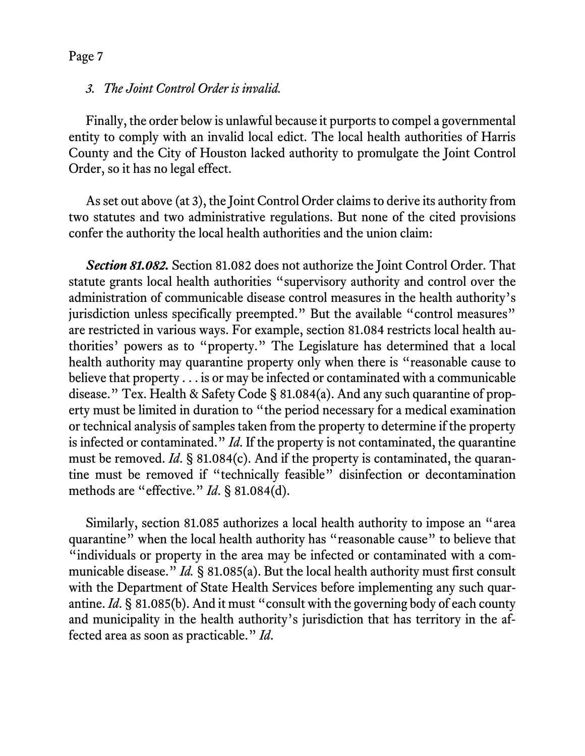#### *3. The Joint Control Order is invalid.*

Finally, the order below is unlawful because it purports to compel a governmental entity to comply with an invalid local edict. The local health authorities of Harris County and the City of Houston lacked authority to promulgate the Joint Control Order, so it has no legal effect.

As set out above (at 3), the Joint Control Order claims to derive its authority from two statutes and two administrative regulations. But none of the cited provisions confer the authority the local health authorities and the union claim:

*Section 81.082.* Section 81.082 does not authorize the Joint Control Order. That statute grants local health authorities "supervisory authority and control over the administration of communicable disease control measures in the health authority's jurisdiction unless specifically preempted." But the available "control measures" are restricted in various ways. For example, section 81.084 restricts local health authorities' powers as to "property." The Legislature has determined that a local health authority may quarantine property only when there is "reasonable cause to believe that property . . . is or may be infected or contaminated with a communicable disease." Tex. Health & Safety Code § 81.084(a). And any such quarantine of property must be limited in duration to "the period necessary for a medical examination or technical analysis of samples taken from the property to determine if the property is infected or contaminated." *Id*. If the property is not contaminated, the quarantine must be removed. *Id*. § 81.084(c). And if the property is contaminated, the quarantine must be removed if "technically feasible" disinfection or decontamination methods are "effective." *Id*. § 81.084(d).

Similarly, section 81.085 authorizes a local health authority to impose an "area quarantine" when the local health authority has "reasonable cause" to believe that "individuals or property in the area may be infected or contaminated with a communicable disease." *Id.* § 81.085(a). But the local health authority must first consult with the Department of State Health Services before implementing any such quarantine. *Id*. § 81.085(b). And it must "consult with the governing body of each county and municipality in the health authority's jurisdiction that has territory in the affected area as soon as practicable." *Id*.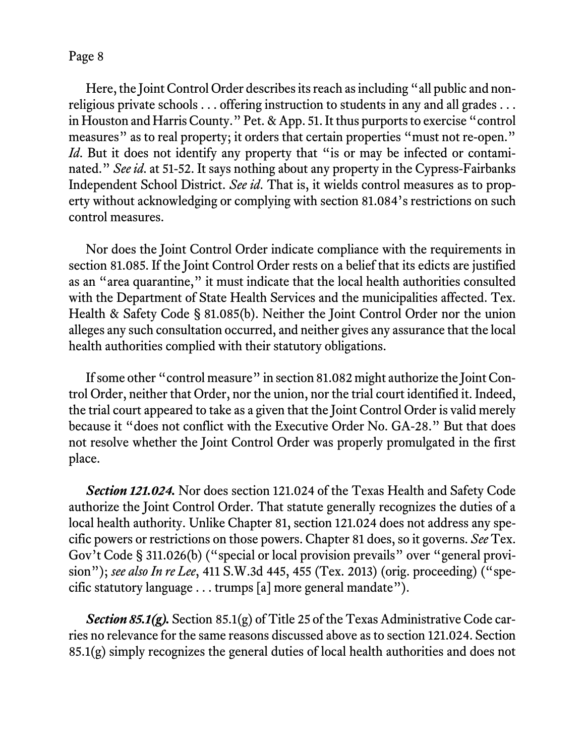Here, the Joint Control Order describes its reach as including "all public and nonreligious private schools . . . offering instruction to students in any and all grades . . . in Houston and Harris County." Pet. & App. 51. It thus purports to exercise "control measures" as to real property; it orders that certain properties "must not re-open." *Id*. But it does not identify any property that "is or may be infected or contaminated." *See id*. at 51-52. It says nothing about any property in the Cypress-Fairbanks Independent School District. *See id*. That is, it wields control measures as to property without acknowledging or complying with section 81.084's restrictions on such control measures.

Nor does the Joint Control Order indicate compliance with the requirements in section 81.085. If the Joint Control Order rests on a belief that its edicts are justified as an "area quarantine," it must indicate that the local health authorities consulted with the Department of State Health Services and the municipalities affected. Tex. Health & Safety Code § 81.085(b). Neither the Joint Control Order nor the union alleges any such consultation occurred, and neither gives any assurance that the local health authorities complied with their statutory obligations.

If some other "control measure" in section 81.082 might authorize the Joint Control Order, neither that Order, nor the union, nor the trial court identified it. Indeed, the trial court appeared to take as a given that the Joint Control Order is valid merely because it "does not conflict with the Executive Order No. GA-28." But that does not resolve whether the Joint Control Order was properly promulgated in the first place.

*Section 121.024.* Nor does section 121.024 of the Texas Health and Safety Code authorize the Joint Control Order. That statute generally recognizes the duties of a local health authority. Unlike Chapter 81, section 121.024 does not address any specific powers or restrictions on those powers. Chapter 81 does, so it governs. *See* Tex. Gov't Code § 311.026(b) ("special or local provision prevails" over "general provision"); *see also In re Lee*, 411 S.W.3d 445, 455 (Tex. 2013) (orig. proceeding) ("specific statutory language . . . trumps [a] more general mandate").

*Section 85.1(g).* Section 85.1(g) of Title 25 of the Texas Administrative Code carries no relevance for the same reasons discussed above as to section 121.024. Section 85.1(g) simply recognizes the general duties of local health authorities and does not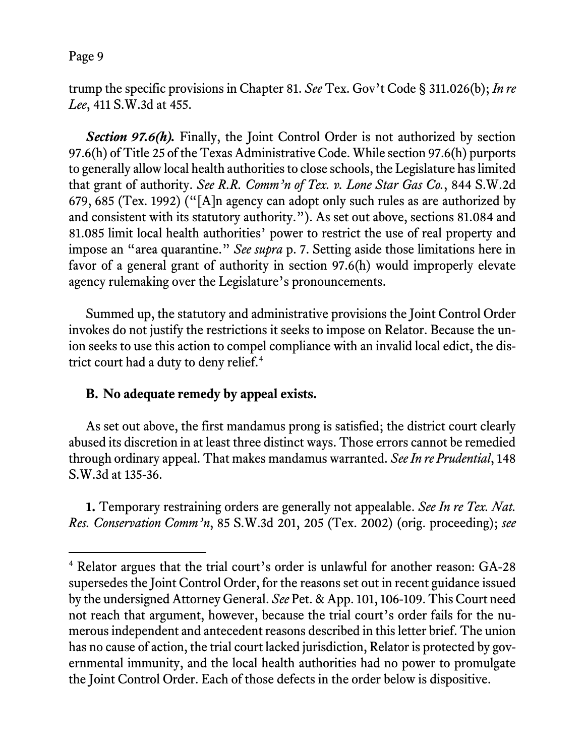trump the specific provisions in Chapter 81. *See* Tex. Gov't Code § 311.026(b); *In re Lee*, 411 S.W.3d at 455.

**Section 97.6(h).** Finally, the Joint Control Order is not authorized by section 97.6(h) of Title 25 of the Texas Administrative Code. While section 97.6(h) purports to generally allow local health authorities to close schools, the Legislature has limited that grant of authority. *See R.R. Comm'n of Tex. v. Lone Star Gas Co.*, 844 S.W.2d 679, 685 (Tex. 1992) ("[A]n agency can adopt only such rules as are authorized by and consistent with its statutory authority."). As set out above, sections 81.084 and 81.085 limit local health authorities' power to restrict the use of real property and impose an "area quarantine." *See supra* p. 7. Setting aside those limitations here in favor of a general grant of authority in section 97.6(h) would improperly elevate agency rulemaking over the Legislature's pronouncements.

Summed up, the statutory and administrative provisions the Joint Control Order invokes do not justify the restrictions it seeks to impose on Relator. Because the union seeks to use this action to compel compliance with an invalid local edict, the dis-trict court had a duty to deny relief.<sup>[4](#page-8-0)</sup>

## **B. No adequate remedy by appeal exists.**

As set out above, the first mandamus prong is satisfied; the district court clearly abused its discretion in at least three distinct ways. Those errors cannot be remedied through ordinary appeal. That makes mandamus warranted. *See In re Prudential*, 148 S.W.3d at 135-36.

**1.** Temporary restraining orders are generally not appealable. *See In re Tex. Nat. Res. Conservation Comm'n*, 85 S.W.3d 201, 205 (Tex. 2002) (orig. proceeding); *see* 

<span id="page-8-0"></span> <sup>4</sup> Relator argues that the trial court's order is unlawful for another reason: GA-28 supersedes the Joint Control Order, for the reasons set out in recent guidance issued by the undersigned Attorney General. *See* Pet. & App. 101, 106-109. This Court need not reach that argument, however, because the trial court's order fails for the numerous independent and antecedent reasons described in this letter brief. The union has no cause of action, the trial court lacked jurisdiction, Relator is protected by governmental immunity, and the local health authorities had no power to promulgate the Joint Control Order. Each of those defects in the order below is dispositive.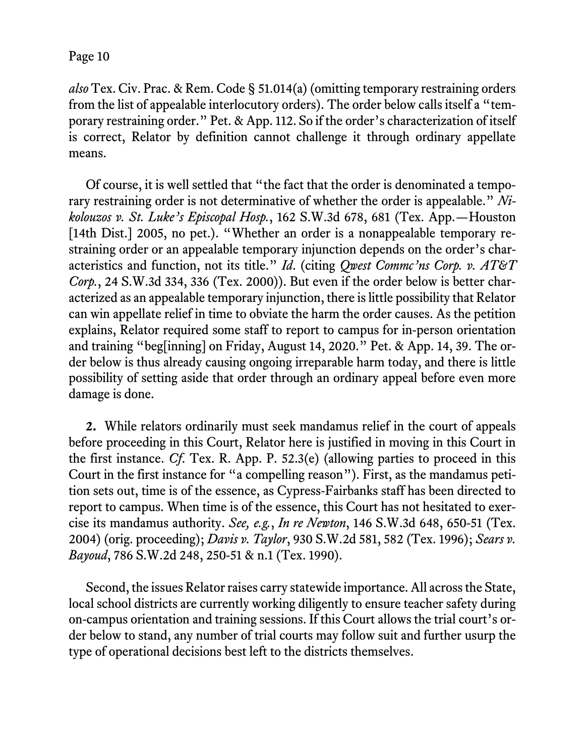*also* Tex. Civ. Prac. & Rem. Code § 51.014(a) (omitting temporary restraining orders from the list of appealable interlocutory orders). The order below calls itself a "temporary restraining order." Pet. & App. 112. So if the order's characterization of itself is correct, Relator by definition cannot challenge it through ordinary appellate means.

Of course, it is well settled that "the fact that the order is denominated a temporary restraining order is not determinative of whether the order is appealable." *Nikolouzos v. St. Luke's Episcopal Hosp.*, 162 S.W.3d 678, 681 (Tex. App.—Houston [14th Dist.] 2005, no pet.). "Whether an order is a nonappealable temporary restraining order or an appealable temporary injunction depends on the order's characteristics and function, not its title." *Id*. (citing *Qwest Commc'ns Corp. v. AT&T Corp.*, 24 S.W.3d 334, 336 (Tex. 2000)). But even if the order below is better characterized as an appealable temporary injunction, there is little possibility that Relator can win appellate relief in time to obviate the harm the order causes. As the petition explains, Relator required some staff to report to campus for in-person orientation and training "beg[inning] on Friday, August 14, 2020." Pet. & App. 14, 39. The order below is thus already causing ongoing irreparable harm today, and there is little possibility of setting aside that order through an ordinary appeal before even more damage is done.

**2.** While relators ordinarily must seek mandamus relief in the court of appeals before proceeding in this Court, Relator here is justified in moving in this Court in the first instance. *Cf*. Tex. R. App. P. 52.3(e) (allowing parties to proceed in this Court in the first instance for "a compelling reason"). First, as the mandamus petition sets out, time is of the essence, as Cypress-Fairbanks staff has been directed to report to campus. When time is of the essence, this Court has not hesitated to exercise its mandamus authority. *See, e.g.*, *In re Newton*, 146 S.W.3d 648, 650-51 (Tex. 2004) (orig. proceeding); *Davis v. Taylor*, 930 S.W.2d 581, 582 (Tex. 1996); *Sears v. Bayoud*, 786 S.W.2d 248, 250-51 & n.1 (Tex. 1990).

Second, the issues Relator raises carry statewide importance. All across the State, local school districts are currently working diligently to ensure teacher safety during on-campus orientation and training sessions. If this Court allows the trial court's order below to stand, any number of trial courts may follow suit and further usurp the type of operational decisions best left to the districts themselves.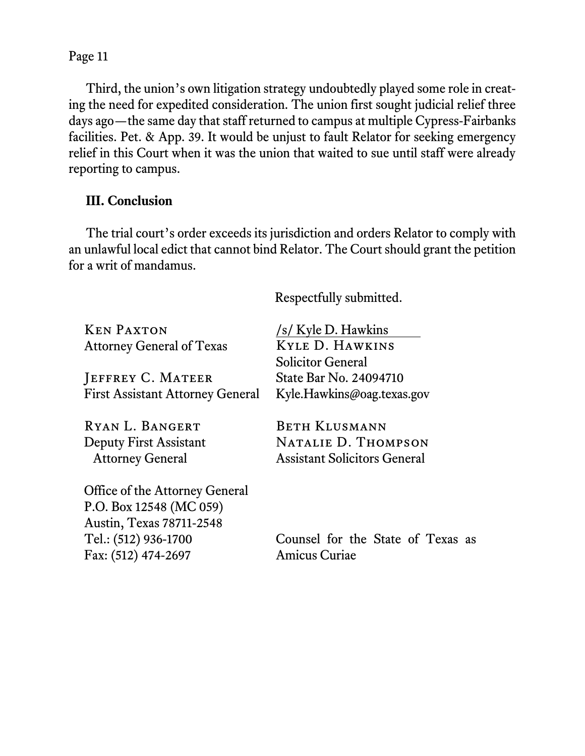Third, the union's own litigation strategy undoubtedly played some role in creating the need for expedited consideration. The union first sought judicial relief three days ago—the same day that staff returned to campus at multiple Cypress-Fairbanks facilities. Pet. & App. 39. It would be unjust to fault Relator for seeking emergency relief in this Court when it was the union that waited to sue until staff were already reporting to campus.

# **III. Conclusion**

The trial court's order exceeds its jurisdiction and orders Relator to comply with an unlawful local edict that cannot bind Relator. The Court should grant the petition for a writ of mandamus.

Respectfully submitted.

| <b>KEN PAXTON</b>                                          | /s/ Kyle D. Hawkins                 |  |  |
|------------------------------------------------------------|-------------------------------------|--|--|
| <b>KYLE D. HAWKINS</b><br><b>Attorney General of Texas</b> |                                     |  |  |
|                                                            | <b>Solicitor General</b>            |  |  |
| JEFFREY C. MATEER                                          | State Bar No. 24094710              |  |  |
| <b>First Assistant Attorney General</b>                    | Kyle.Hawkins@oag.texas.gov          |  |  |
| RYAN L. BANGERT                                            | <b>BETH KLUSMANN</b>                |  |  |
| Deputy First Assistant                                     | NATALIE D. THOMPSON                 |  |  |
| <b>Attorney General</b>                                    | <b>Assistant Solicitors General</b> |  |  |
| Office of the Attorney General                             |                                     |  |  |
| P.O. Box 12548 (MC 059)                                    |                                     |  |  |
| Austin, Texas 78711-2548                                   |                                     |  |  |
| Tel.: (512) 936-1700                                       | Counsel for the State of Texas as   |  |  |
| Fax: (512) 474-2697                                        | <b>Amicus Curiae</b>                |  |  |
|                                                            |                                     |  |  |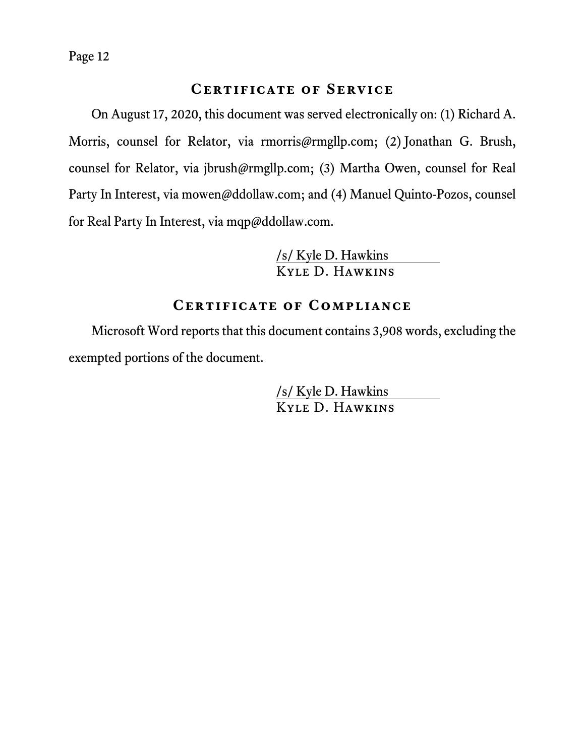### **Certificate of Service**

On August 17, 2020, this document was served electronically on: (1) Richard A. Morris, counsel for Relator, via rmorris@rmgllp.com; (2) Jonathan G. Brush, counsel for Relator, via jbrush@rmgllp.com; (3) Martha Owen, counsel for Real Party In Interest, via mowen@ddollaw.com; and (4) Manuel Quinto-Pozos, counsel for Real Party In Interest, via mqp@ddollaw.com.

> /s/ Kyle D. Hawkins Kyle D. Hawkins

### **Certificate of Compliance**

Microsoft Word reports that this document contains 3,908 words, excluding the exempted portions of the document.

> /s/ Kyle D. Hawkins Kyle D. Hawkins